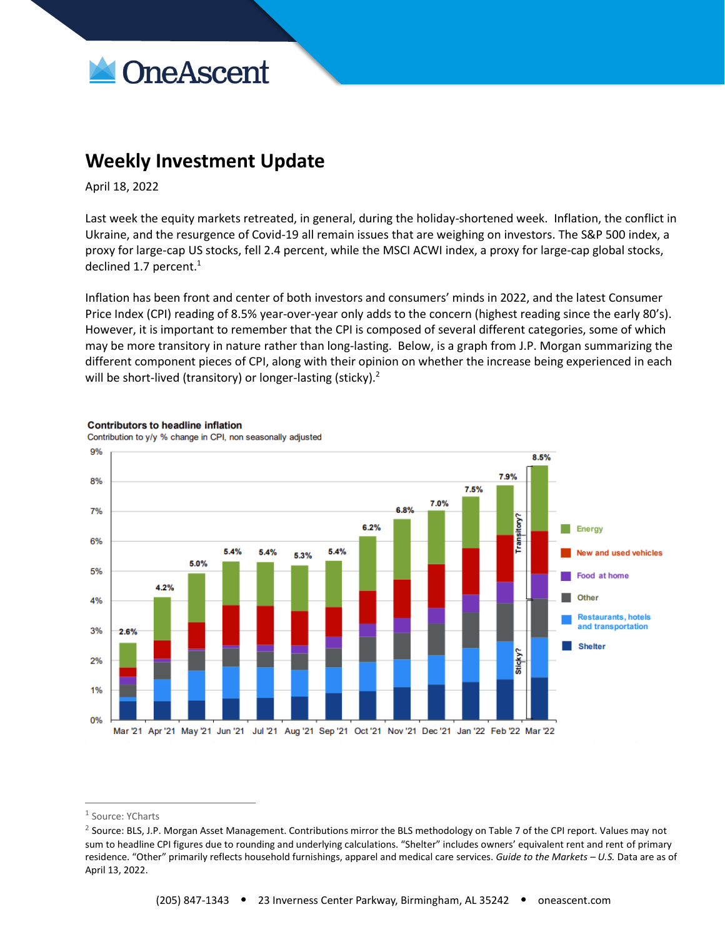

## **Weekly Investment Update**

April 18, 2022

Last week the equity markets retreated, in general, during the holiday-shortened week. Inflation, the conflict in Ukraine, and the resurgence of Covid-19 all remain issues that are weighing on investors. The S&P 500 index, a proxy for large-cap US stocks, fell 2.4 percent, while the MSCI ACWI index, a proxy for large-cap global stocks, declined 1.7 percent. $1$ 

Inflation has been front and center of both investors and consumers' minds in 2022, and the latest Consumer Price Index (CPI) reading of 8.5% year-over-year only adds to the concern (highest reading since the early 80's). However, it is important to remember that the CPI is composed of several different categories, some of which may be more transitory in nature rather than long-lasting. Below, is a graph from J.P. Morgan summarizing the different component pieces of CPI, along with their opinion on whether the increase being experienced in each will be short-lived (transitory) or longer-lasting (sticky).<sup>2</sup>



## **Contributors to headline inflation**

Contribution to y/y % change in CPI, non seasonally adjusted

<sup>&</sup>lt;sup>1</sup> Source: YCharts

<sup>&</sup>lt;sup>2</sup> Source: BLS, J.P. Morgan Asset Management. Contributions mirror the BLS methodology on Table 7 of the CPI report. Values may not sum to headline CPI figures due to rounding and underlying calculations. "Shelter" includes owners' equivalent rent and rent of primary residence. "Other" primarily reflects household furnishings, apparel and medical care services. *Guide to the Markets – U.S.* Data are as of April 13, 2022.